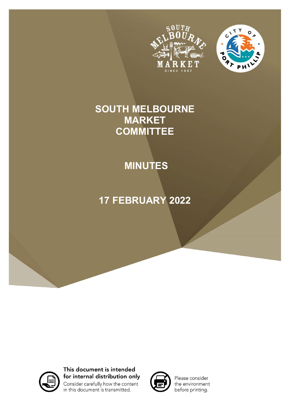



# **SOUTH MELBOURNE MARKET COMMITTEE**

# **MINUTES**

# **17 FEBRUARY 2022**



This document is intended for internal distribution only Consider carefully how the content in this document is transmitted.



Please consider the environment before printing.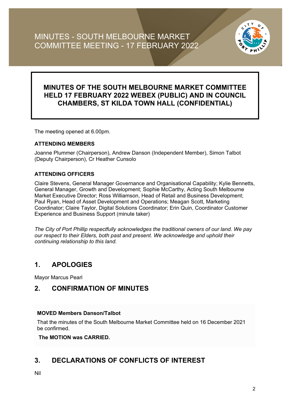

## **MINUTES OF THE SOUTH MELBOURNE MARKET COMMITTEE HELD 17 FEBRUARY 2022 WEBEX (PUBLIC) AND IN COUNCIL CHAMBERS, ST KILDA TOWN HALL (CONFIDENTIAL)**

The meeting opened at 6.00pm.

#### **ATTENDING MEMBERS**

Joanne Plummer (Chairperson), Andrew Danson (Independent Member), Simon Talbot (Deputy Chairperson), Cr Heather Cunsolo

#### **ATTENDING OFFICERS**

Claire Stevens, General Manager Governance and Organisational Capability; Kylie Bennetts, General Manager, Growth and Development; Sophie McCarthy, Acting South Melbourne Market Executive Director; Ross Williamson, Head of Retail and Business Development; Paul Ryan, Head of Asset Development and Operations; Meagan Scott, Marketing Coordinator; Claire Taylor, Digital Solutions Coordinator; Erin Quin, Coordinator Customer Experience and Business Support (minute taker)

*The City of Port Phillip respectfully acknowledges the traditional owners of our land. We pay our respect to their Elders, both past and present. We acknowledge and uphold their continuing relationship to this land.*

### **1. APOLOGIES**

Mayor Marcus Pearl

### **2. CONFIRMATION OF MINUTES**

#### **MOVED Members Danson/Talbot**

That the minutes of the South Melbourne Market Committee held on 16 December 2021 be confirmed.

**The MOTION was CARRIED.**

### **3. DECLARATIONS OF CONFLICTS OF INTEREST**

Nil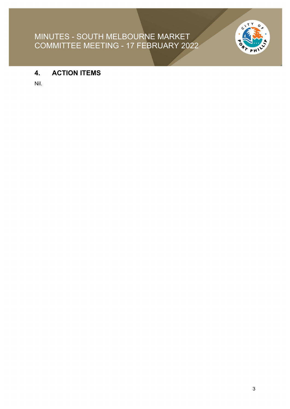

## **4. ACTION ITEMS**

Nil.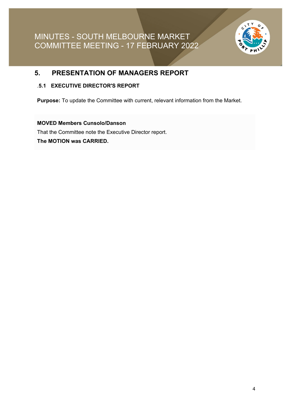

### **5. PRESENTATION OF MANAGERS REPORT**

#### .**5.1 EXECUTIVE DIRECTOR'S REPORT**

**Purpose:** To update the Committee with current, relevant information from the Market.

#### **MOVED Members Cunsolo/Danson**

That the Committee note the Executive Director report.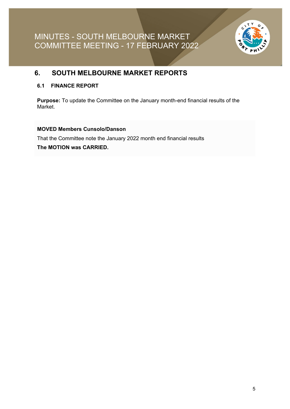

### **6. SOUTH MELBOURNE MARKET REPORTS**

#### **6.1 FINANCE REPORT**

**Purpose:** To update the Committee on the January month-end financial results of the Market.

#### **MOVED Members Cunsolo/Danson**

That the Committee note the January 2022 month end financial results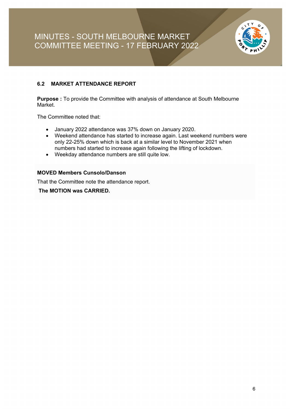

#### **6.2 MARKET ATTENDANCE REPORT**

**Purpose :** To provide the Committee with analysis of attendance at South Melbourne Market.

The Committee noted that:

- January 2022 attendance was 37% down on January 2020.
- Weekend attendance has started to increase again. Last weekend numbers were only 22-25% down which is back at a similar level to November 2021 when numbers had started to increase again following the lifting of lockdown.
- Weekday attendance numbers are still quite low.

#### **MOVED Members Cunsolo/Danson**

That the Committee note the attendance report.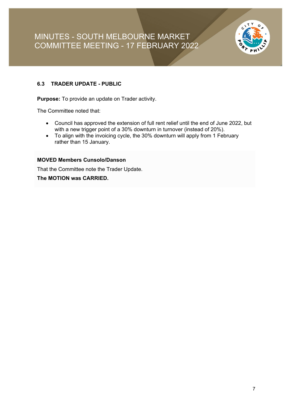

#### **6.3 TRADER UPDATE - PUBLIC**

**Purpose:** To provide an update on Trader activity.

The Committee noted that:

- Council has approved the extension of full rent relief until the end of June 2022, but with a new trigger point of a 30% downturn in turnover (instead of 20%).
- To align with the invoicing cycle, the 30% downturn will apply from 1 February rather than 15 January.

#### **MOVED Members Cunsolo/Danson**

That the Committee note the Trader Update.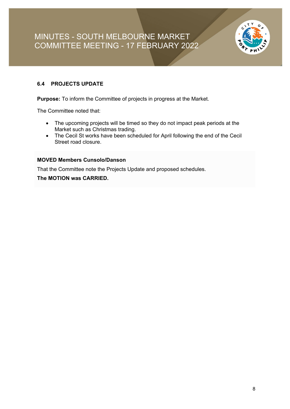

#### **6.4 PROJECTS UPDATE**

**Purpose:** To inform the Committee of projects in progress at the Market.

The Committee noted that:

- The upcoming projects will be timed so they do not impact peak periods at the Market such as Christmas trading.
- The Cecil St works have been scheduled for April following the end of the Cecil Street road closure.

#### **MOVED Members Cunsolo/Danson**

That the Committee note the Projects Update and proposed schedules.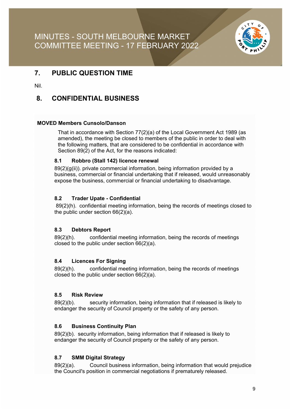

### **7. PUBLIC QUESTION TIME**

Nil.

### **8. CONFIDENTIAL BUSINESS**

#### **MOVED Members Cunsolo/Danson**

That in accordance with Section 77(2)(a) of the Local Government Act 1989 (as amended), the meeting be closed to members of the public in order to deal with the following matters, that are considered to be confidential in accordance with Section 89(2) of the Act, for the reasons indicated:

#### **8.1 Robbro (Stall 142) licence renewal**

89(2)(g(ii)). private commercial information, being information provided by a business, commercial or financial undertaking that if released, would unreasonably expose the business, commercial or financial undertaking to disadvantage.

#### **8.2 Trader Upate - Confidential**

89(2)(h). confidential meeting information, being the records of meetings closed to the public under section 66(2)(a).

#### **8.3 Debtors Report**

89(2)(h). confidential meeting information, being the records of meetings closed to the public under section 66(2)(a).

#### **8.4 Licences For Signing**

89(2)(h). confidential meeting information, being the records of meetings closed to the public under section 66(2)(a).

#### **8.5 Risk Review**

89(2)(b). security information, being information that if released is likely to endanger the security of Council property or the safety of any person.

#### **8.6 Business Continuity Plan**

89(2)(b). security information, being information that if released is likely to endanger the security of Council property or the safety of any person.

#### **8.7 SMM Digital Strategy**

89(2)(a). Council business information, being information that would prejudice the Council's position in commercial negotiations if prematurely released.